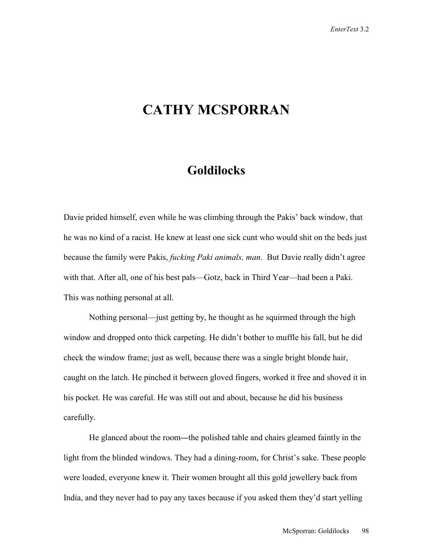## **CATHY MCSPORRAN**

## **Goldilocks**

Davie prided himself, even while he was climbing through the Pakis' back window, that he was no kind of a racist. He knew at least one sick cunt who would shit on the beds just because the family were Pakis, *fucking Paki animals, man.* But Davie really didn't agree with that. After all, one of his best pals—Gotz, back in Third Year—had been a Paki. This was nothing personal at all.

 Nothing personal—just getting by, he thought as he squirmed through the high window and dropped onto thick carpeting. He didn't bother to muffle his fall, but he did check the window frame; just as well, because there was a single bright blonde hair, caught on the latch. He pinched it between gloved fingers, worked it free and shoved it in his pocket. He was careful. He was still out and about, because he did his business carefully.

 He glanced about the room—the polished table and chairs gleamed faintly in the light from the blinded windows. They had a dining-room, for Christ's sake. These people were loaded, everyone knew it. Their women brought all this gold jewellery back from India, and they never had to pay any taxes because if you asked them they'd start yelling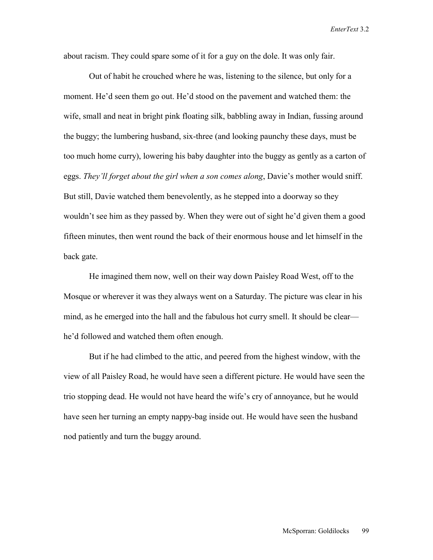about racism. They could spare some of it for a guy on the dole. It was only fair.

 Out of habit he crouched where he was, listening to the silence, but only for a moment. He'd seen them go out. He'd stood on the pavement and watched them: the wife, small and neat in bright pink floating silk, babbling away in Indian, fussing around the buggy; the lumbering husband, six-three (and looking paunchy these days, must be too much home curry), lowering his baby daughter into the buggy as gently as a carton of eggs. *They'll forget about the girl when a son comes along*, Davie's mother would sniff. But still, Davie watched them benevolently, as he stepped into a doorway so they wouldn't see him as they passed by. When they were out of sight he'd given them a good fifteen minutes, then went round the back of their enormous house and let himself in the back gate.

 He imagined them now, well on their way down Paisley Road West, off to the Mosque or wherever it was they always went on a Saturday. The picture was clear in his mind, as he emerged into the hall and the fabulous hot curry smell. It should be clear he'd followed and watched them often enough.

 But if he had climbed to the attic, and peered from the highest window, with the view of all Paisley Road, he would have seen a different picture. He would have seen the trio stopping dead. He would not have heard the wife's cry of annoyance, but he would have seen her turning an empty nappy-bag inside out. He would have seen the husband nod patiently and turn the buggy around.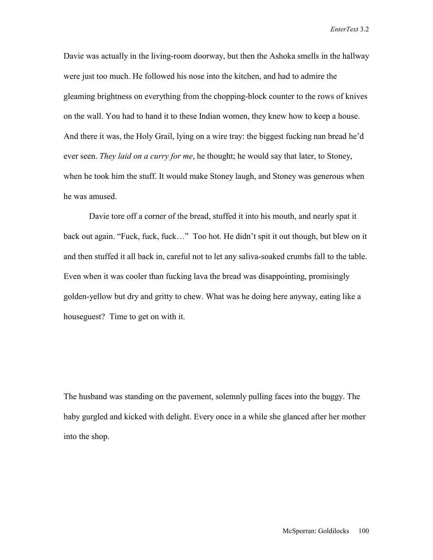Davie was actually in the living-room doorway, but then the Ashoka smells in the hallway were just too much. He followed his nose into the kitchen, and had to admire the gleaming brightness on everything from the chopping-block counter to the rows of knives on the wall. You had to hand it to these Indian women, they knew how to keep a house. And there it was, the Holy Grail, lying on a wire tray: the biggest fucking nan bread he'd ever seen. *They laid on a curry for me*, he thought; he would say that later, to Stoney, when he took him the stuff. It would make Stoney laugh, and Stoney was generous when he was amused.

 Davie tore off a corner of the bread, stuffed it into his mouth, and nearly spat it back out again. "Fuck, fuck, fuck…" Too hot. He didn't spit it out though, but blew on it and then stuffed it all back in, careful not to let any saliva-soaked crumbs fall to the table. Even when it was cooler than fucking lava the bread was disappointing, promisingly golden-yellow but dry and gritty to chew. What was he doing here anyway, eating like a houseguest? Time to get on with it.

The husband was standing on the pavement, solemnly pulling faces into the buggy. The baby gurgled and kicked with delight. Every once in a while she glanced after her mother into the shop.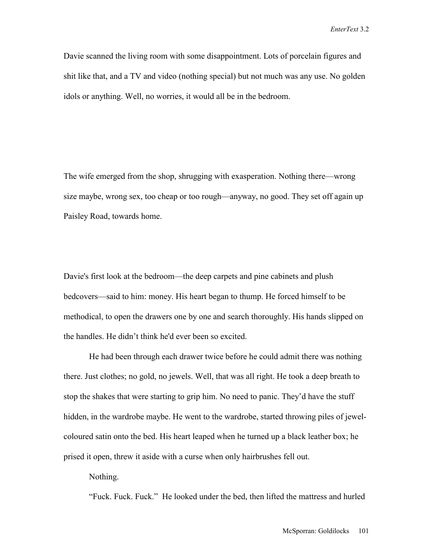Davie scanned the living room with some disappointment. Lots of porcelain figures and shit like that, and a TV and video (nothing special) but not much was any use. No golden idols or anything. Well, no worries, it would all be in the bedroom.

The wife emerged from the shop, shrugging with exasperation. Nothing there—wrong size maybe, wrong sex, too cheap or too rough—anyway, no good. They set off again up Paisley Road, towards home.

Davie's first look at the bedroom—the deep carpets and pine cabinets and plush bedcovers—said to him: money. His heart began to thump. He forced himself to be methodical, to open the drawers one by one and search thoroughly. His hands slipped on the handles. He didn't think he'd ever been so excited.

 He had been through each drawer twice before he could admit there was nothing there. Just clothes; no gold, no jewels. Well, that was all right. He took a deep breath to stop the shakes that were starting to grip him. No need to panic. They'd have the stuff hidden, in the wardrobe maybe. He went to the wardrobe, started throwing piles of jewelcoloured satin onto the bed. His heart leaped when he turned up a black leather box; he prised it open, threw it aside with a curse when only hairbrushes fell out.

Nothing.

"Fuck. Fuck. Fuck." He looked under the bed, then lifted the mattress and hurled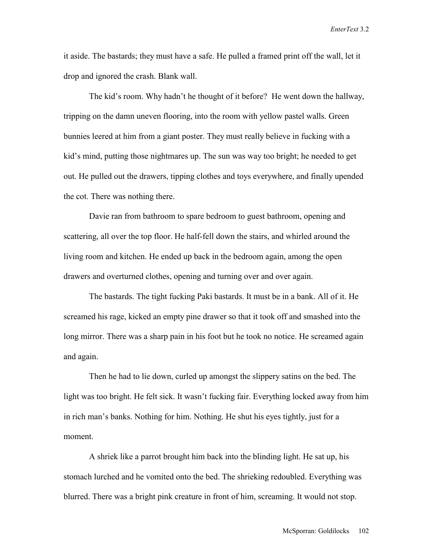it aside. The bastards; they must have a safe. He pulled a framed print off the wall, let it drop and ignored the crash. Blank wall.

 The kid's room. Why hadn't he thought of it before? He went down the hallway, tripping on the damn uneven flooring, into the room with yellow pastel walls. Green bunnies leered at him from a giant poster. They must really believe in fucking with a kid's mind, putting those nightmares up. The sun was way too bright; he needed to get out. He pulled out the drawers, tipping clothes and toys everywhere, and finally upended the cot. There was nothing there.

 Davie ran from bathroom to spare bedroom to guest bathroom, opening and scattering, all over the top floor. He half-fell down the stairs, and whirled around the living room and kitchen. He ended up back in the bedroom again, among the open drawers and overturned clothes, opening and turning over and over again.

 The bastards. The tight fucking Paki bastards. It must be in a bank. All of it. He screamed his rage, kicked an empty pine drawer so that it took off and smashed into the long mirror. There was a sharp pain in his foot but he took no notice. He screamed again and again.

 Then he had to lie down, curled up amongst the slippery satins on the bed. The light was too bright. He felt sick. It wasn't fucking fair. Everything locked away from him in rich man's banks. Nothing for him. Nothing. He shut his eyes tightly, just for a moment.

 A shriek like a parrot brought him back into the blinding light. He sat up, his stomach lurched and he vomited onto the bed. The shrieking redoubled. Everything was blurred. There was a bright pink creature in front of him, screaming. It would not stop.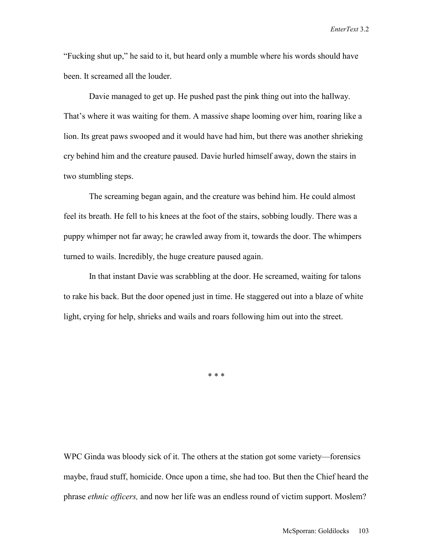"Fucking shut up," he said to it, but heard only a mumble where his words should have been. It screamed all the louder.

 Davie managed to get up. He pushed past the pink thing out into the hallway. That's where it was waiting for them. A massive shape looming over him, roaring like a lion. Its great paws swooped and it would have had him, but there was another shrieking cry behind him and the creature paused. Davie hurled himself away, down the stairs in two stumbling steps.

 The screaming began again, and the creature was behind him. He could almost feel its breath. He fell to his knees at the foot of the stairs, sobbing loudly. There was a puppy whimper not far away; he crawled away from it, towards the door. The whimpers turned to wails. Incredibly, the huge creature paused again.

 In that instant Davie was scrabbling at the door. He screamed, waiting for talons to rake his back. But the door opened just in time. He staggered out into a blaze of white light, crying for help, shrieks and wails and roars following him out into the street.

\* \* \*

WPC Ginda was bloody sick of it. The others at the station got some variety—forensics maybe, fraud stuff, homicide. Once upon a time, she had too. But then the Chief heard the phrase *ethnic officers,* and now her life was an endless round of victim support. Moslem?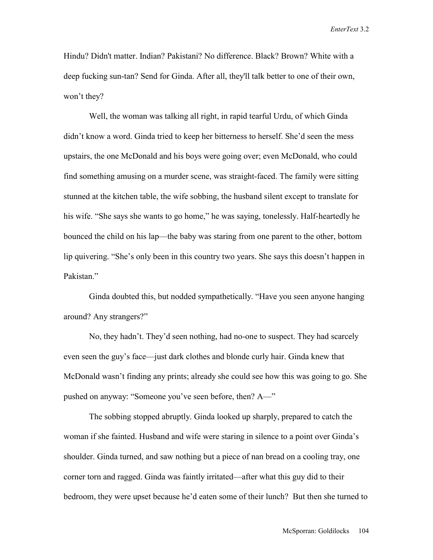Hindu? Didn't matter. Indian? Pakistani? No difference. Black? Brown? White with a deep fucking sun-tan? Send for Ginda. After all, they'll talk better to one of their own, won't they?

 Well, the woman was talking all right, in rapid tearful Urdu, of which Ginda didn't know a word. Ginda tried to keep her bitterness to herself. She'd seen the mess upstairs, the one McDonald and his boys were going over; even McDonald, who could find something amusing on a murder scene, was straight-faced. The family were sitting stunned at the kitchen table, the wife sobbing, the husband silent except to translate for his wife. "She says she wants to go home," he was saying, tonelessly. Half-heartedly he bounced the child on his lap—the baby was staring from one parent to the other, bottom lip quivering. "She's only been in this country two years. She says this doesn't happen in Pakistan."

 Ginda doubted this, but nodded sympathetically. "Have you seen anyone hanging around? Any strangers?"

 No, they hadn't. They'd seen nothing, had no-one to suspect. They had scarcely even seen the guy's face—just dark clothes and blonde curly hair. Ginda knew that McDonald wasn't finding any prints; already she could see how this was going to go. She pushed on anyway: "Someone you've seen before, then? A—"

 The sobbing stopped abruptly. Ginda looked up sharply, prepared to catch the woman if she fainted. Husband and wife were staring in silence to a point over Ginda's shoulder. Ginda turned, and saw nothing but a piece of nan bread on a cooling tray, one corner torn and ragged. Ginda was faintly irritated—after what this guy did to their bedroom, they were upset because he'd eaten some of their lunch? But then she turned to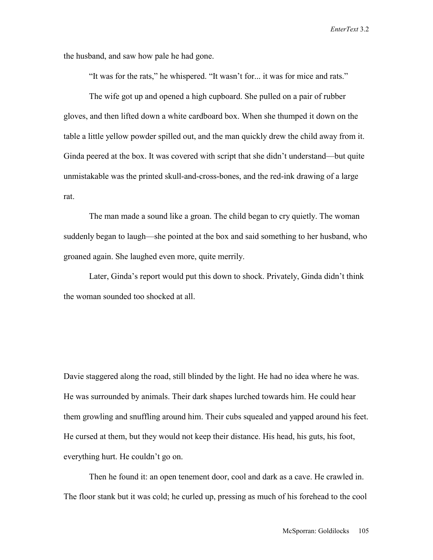the husband, and saw how pale he had gone.

"It was for the rats," he whispered. "It wasn't for... it was for mice and rats."

 The wife got up and opened a high cupboard. She pulled on a pair of rubber gloves, and then lifted down a white cardboard box. When she thumped it down on the table a little yellow powder spilled out, and the man quickly drew the child away from it. Ginda peered at the box. It was covered with script that she didn't understand—but quite unmistakable was the printed skull-and-cross-bones, and the red-ink drawing of a large rat.

 The man made a sound like a groan. The child began to cry quietly. The woman suddenly began to laugh—she pointed at the box and said something to her husband, who groaned again. She laughed even more, quite merrily.

 Later, Ginda's report would put this down to shock. Privately, Ginda didn't think the woman sounded too shocked at all.

Davie staggered along the road, still blinded by the light. He had no idea where he was. He was surrounded by animals. Their dark shapes lurched towards him. He could hear them growling and snuffling around him. Their cubs squealed and yapped around his feet. He cursed at them, but they would not keep their distance. His head, his guts, his foot, everything hurt. He couldn't go on.

 Then he found it: an open tenement door, cool and dark as a cave. He crawled in. The floor stank but it was cold; he curled up, pressing as much of his forehead to the cool